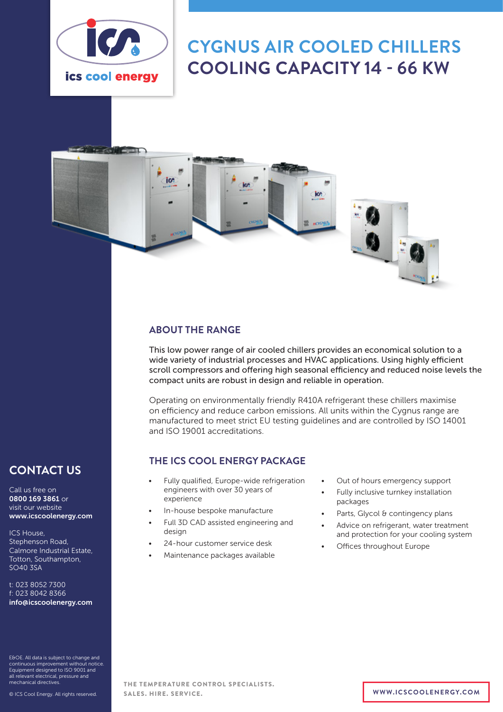

# **CYGNUS AIR COOLED CHILLERS COOLING CAPACITY 14 - 66 KW**



## **ABOUT THE RANGE**

This low power range of air cooled chillers provides an economical solution to a wide variety of industrial processes and HVAC applications. Using highly efficient scroll compressors and offering high seasonal efficiency and reduced noise levels the compact units are robust in design and reliable in operation.

Operating on environmentally friendly R410A refrigerant these chillers maximise on efficiency and reduce carbon emissions. All units within the Cygnus range are manufactured to meet strict EU testing guidelines and are controlled by ISO 14001 and ISO 19001 accreditations.

### **THE ICS COOL ENERGY PACKAGE**

- Fully qualified, Europe-wide refrigeration engineers with over 30 years of experience
- In-house bespoke manufacture
- Full 3D CAD assisted engineering and design
- 24-hour customer service desk
- Maintenance packages available
- Out of hours emergency support
- Fully inclusive turnkey installation packages
- Parts, Glycol & contingency plans
- Advice on refrigerant, water treatment and protection for your cooling system
- Offices throughout Europe

# **CONTACT US**

Call us free on 0800 169 3861 or visit our website www.icscoolenergy.com

ICS House, Stephenson Road, Calmore Industrial Estate, Totton, Southampton, SO40 3SA

t: 023 8052 7300 f: 023 8042 8366 info@icscoolenergy.com

E&OE. All data is subject to change and continuous improvement without notice. Equipment designed to ISO 9001 and all relevant electrical, pressure and mechanical directives.

THE TEMPERATURE CONTROL SPECIALISTS. SALES. HIRE. SERVICE. **WWW.ICSCOOLENERGY.COM**